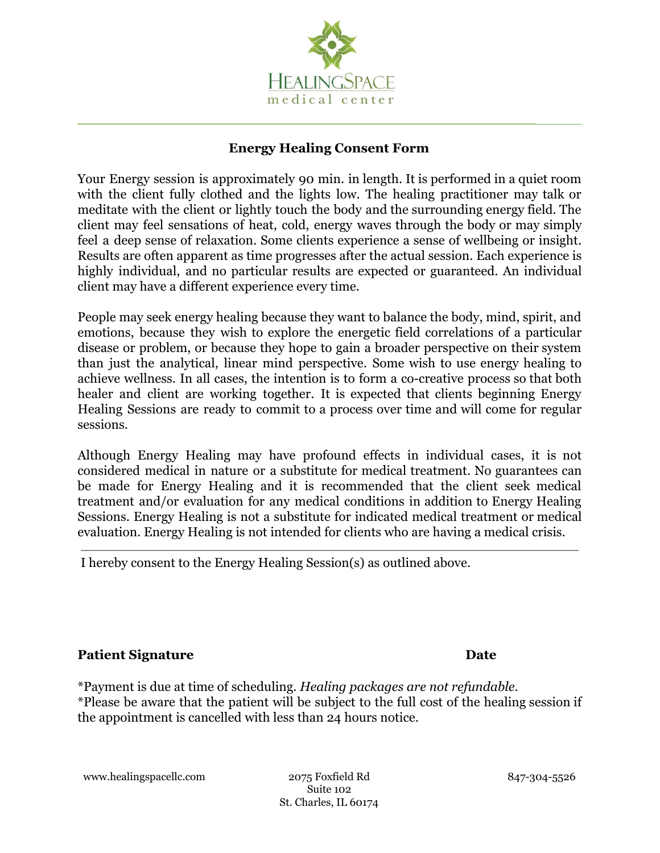

### **Energy Healing Consent Form**

**\_\_\_\_\_\_\_\_\_\_\_\_\_\_\_\_\_\_\_\_\_\_\_\_\_\_\_\_\_\_\_\_\_\_\_\_\_\_\_\_\_\_\_\_\_\_\_\_\_\_\_\_\_\_\_\_\_\_\_\_\_\_\_\_\_\_\_\_\_\_\_**\_\_\_\_\_\_\_

Your Energy session is approximately 90 min. in length. It is performed in a quiet room with the client fully clothed and the lights low. The healing practitioner may talk or meditate with the client or lightly touch the body and the surrounding energy field. The client may feel sensations of heat, cold, energy waves through the body or may simply feel a deep sense of relaxation. Some clients experience a sense of wellbeing or insight. Results are often apparent as time progresses after the actual session. Each experience is highly individual, and no particular results are expected or guaranteed. An individual client may have a different experience every time.

People may seek energy healing because they want to balance the body, mind, spirit, and emotions, because they wish to explore the energetic field correlations of a particular disease or problem, or because they hope to gain a broader perspective on their system than just the analytical, linear mind perspective. Some wish to use energy healing to achieve wellness. In all cases, the intention is to form a co-creative process so that both healer and client are working together. It is expected that clients beginning Energy Healing Sessions are ready to commit to a process over time and will come for regular sessions.

Although Energy Healing may have profound effects in individual cases, it is not considered medical in nature or a substitute for medical treatment. No guarantees can be made for Energy Healing and it is recommended that the client seek medical treatment and/or evaluation for any medical conditions in addition to Energy Healing Sessions. Energy Healing is not a substitute for indicated medical treatment or medical evaluation. Energy Healing is not intended for clients who are having a medical crisis.

I hereby consent to the Energy Healing Session(s) as outlined above.

# **Patient Signature Date**

\*Payment is due at time of scheduling. *Healing packages are not refundable*. \*Please be aware that the patient will be subject to the full cost of the healing session if the appointment is cancelled with less than 24 hours notice.